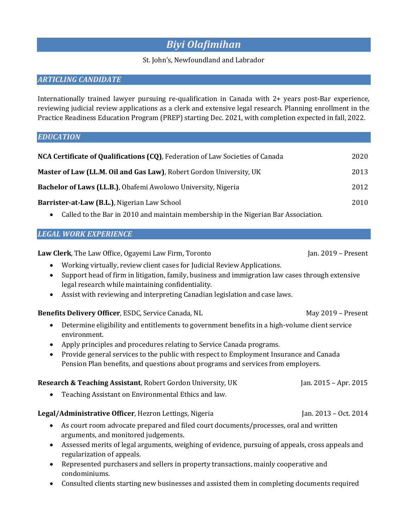# Biyi Olafimihan

#### St. John's, Newfoundland and Labrador

### ARTICLING CANDIDATE

Internationally trained lawyer pursuing re-qualification in Canada with 2+ years post-Bar experience, reviewing judicial review applications as a clerk and extensive legal research. Planning enrollment in the Practice Readiness Education Program (PREP) starting Dec. 2021, with completion expected in fall, 2022.

**EDUCATION** 

| NCA Certificate of Qualifications (CQ), Federation of Law Societies of Canada | 2020 |
|-------------------------------------------------------------------------------|------|
| Master of Law (LL.M. Oil and Gas Law), Robert Gordon University, UK           | 2013 |
| <b>Bachelor of Laws (LL.B.)</b> , Obafemi Awolowo University, Nigeria         | 2012 |
| Barrister-at-Law (B.L.), Nigerian Law School                                  | 2010 |
|                                                                               |      |

Called to the Bar in 2010 and maintain membership in the Nigerian Bar Association.

#### LEGAL WORK EXPERIENCE

Law Clerk, The Law Office, Ogayemi Law Firm, Toronto Jan. 2019 – Present

- Working virtually, review client cases for Judicial Review Applications.
- Support head of firm in litigation, family, business and immigration law cases through extensive legal research while maintaining confidentiality.
- Assist with reviewing and interpreting Canadian legislation and case laws.

#### **Benefits Delivery Officer**, ESDC, Service Canada, NL May 2019 – Present

- Determine eligibility and entitlements to government benefits in a high-volume client service environment.
- Apply principles and procedures relating to Service Canada programs.
- Provide general services to the public with respect to Employment Insurance and Canada Pension Plan benefits, and questions about programs and services from employers.

| Research & Teaching Assistant, Robert Gordon University, UK |  | Jan. 2015 - Apr. 2015 |
|-------------------------------------------------------------|--|-----------------------|
| $\cdots$                                                    |  |                       |

Teaching Assistant on Environmental Ethics and law.

#### Legal/Administrative Officer, Hezron Lettings, Nigeria Jan. 2013 – Oct. 2014

- As court room advocate prepared and filed court documents/processes, oral and written arguments, and monitored judgements.
- Assessed merits of legal arguments, weighing of evidence, pursuing of appeals, cross appeals and regularization of appeals.
- Represented purchasers and sellers in property transactions, mainly cooperative and condominiums.
- Consulted clients starting new businesses and assisted them in completing documents required